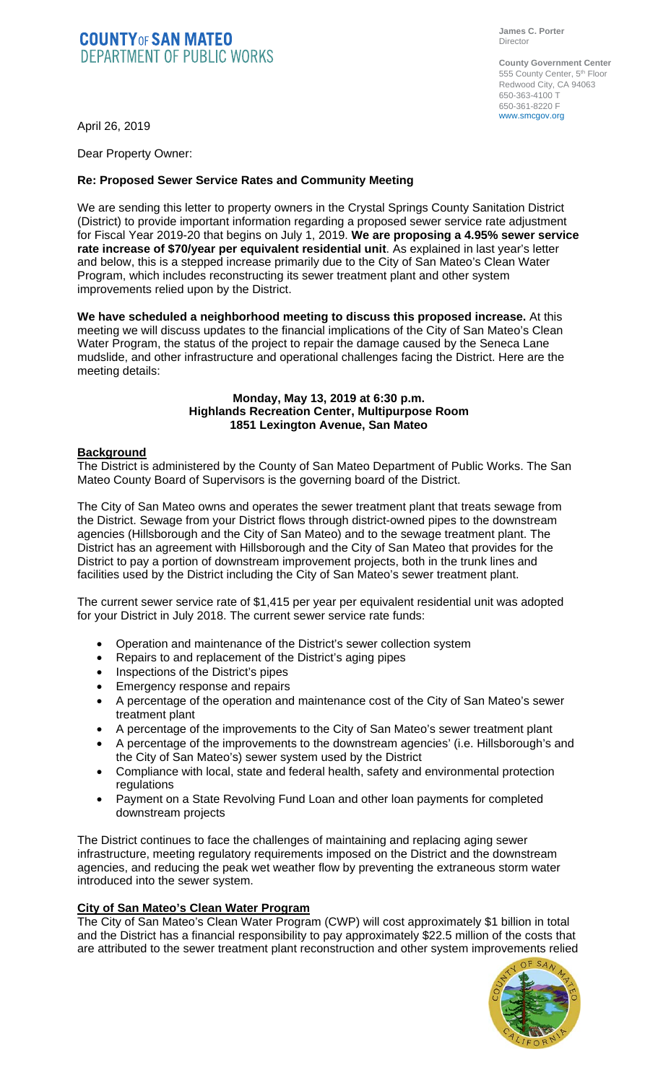# **COUNTY OF SAN MATEO**<br>DEPARTMENT OF PUBLIC WORKS

**James C. Porter**  Director

**County Government Center**  555 County Center, 5<sup>th</sup> Floor Redwood City, CA 94063 650-363-4100 T 650-361-8220 F www.smcgov.org

April 26, 2019

Dear Property Owner:

# **Re: Proposed Sewer Service Rates and Community Meeting**

We are sending this letter to property owners in the Crystal Springs County Sanitation District (District) to provide important information regarding a proposed sewer service rate adjustment for Fiscal Year 2019-20 that begins on July 1, 2019. **We are proposing a 4.95% sewer service rate increase of \$70/year per equivalent residential unit**. As explained in last year's letter and below, this is a stepped increase primarily due to the City of San Mateo's Clean Water Program, which includes reconstructing its sewer treatment plant and other system improvements relied upon by the District.

**We have scheduled a neighborhood meeting to discuss this proposed increase.** At this meeting we will discuss updates to the financial implications of the City of San Mateo's Clean Water Program, the status of the project to repair the damage caused by the Seneca Lane mudslide, and other infrastructure and operational challenges facing the District. Here are the meeting details:

### **Monday, May 13, 2019 at 6:30 p.m. Highlands Recreation Center, Multipurpose Room 1851 Lexington Avenue, San Mateo**

## **Background**

The District is administered by the County of San Mateo Department of Public Works. The San Mateo County Board of Supervisors is the governing board of the District.

The City of San Mateo owns and operates the sewer treatment plant that treats sewage from the District. Sewage from your District flows through district-owned pipes to the downstream agencies (Hillsborough and the City of San Mateo) and to the sewage treatment plant. The District has an agreement with Hillsborough and the City of San Mateo that provides for the District to pay a portion of downstream improvement projects, both in the trunk lines and facilities used by the District including the City of San Mateo's sewer treatment plant.

The current sewer service rate of \$1,415 per year per equivalent residential unit was adopted for your District in July 2018. The current sewer service rate funds:

- Operation and maintenance of the District's sewer collection system
- Repairs to and replacement of the District's aging pipes
- Inspections of the District's pipes
- Emergency response and repairs
- A percentage of the operation and maintenance cost of the City of San Mateo's sewer treatment plant
- A percentage of the improvements to the City of San Mateo's sewer treatment plant
- A percentage of the improvements to the downstream agencies' (i.e. Hillsborough's and the City of San Mateo's) sewer system used by the District
- Compliance with local, state and federal health, safety and environmental protection regulations
- Payment on a State Revolving Fund Loan and other loan payments for completed downstream projects

The District continues to face the challenges of maintaining and replacing aging sewer infrastructure, meeting regulatory requirements imposed on the District and the downstream agencies, and reducing the peak wet weather flow by preventing the extraneous storm water introduced into the sewer system.

## **City of San Mateo's Clean Water Program**

The City of San Mateo's Clean Water Program (CWP) will cost approximately \$1 billion in total and the District has a financial responsibility to pay approximately \$22.5 million of the costs that are attributed to the sewer treatment plant reconstruction and other system improvements relied